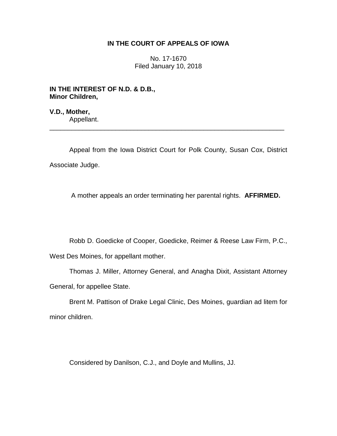# **IN THE COURT OF APPEALS OF IOWA**

No. 17-1670 Filed January 10, 2018

**IN THE INTEREST OF N.D. & D.B., Minor Children,**

**V.D., Mother,** Appellant.

Appeal from the Iowa District Court for Polk County, Susan Cox, District Associate Judge.

\_\_\_\_\_\_\_\_\_\_\_\_\_\_\_\_\_\_\_\_\_\_\_\_\_\_\_\_\_\_\_\_\_\_\_\_\_\_\_\_\_\_\_\_\_\_\_\_\_\_\_\_\_\_\_\_\_\_\_\_\_\_\_\_

A mother appeals an order terminating her parental rights. **AFFIRMED.** 

Robb D. Goedicke of Cooper, Goedicke, Reimer & Reese Law Firm, P.C.,

West Des Moines, for appellant mother.

Thomas J. Miller, Attorney General, and Anagha Dixit, Assistant Attorney General, for appellee State.

Brent M. Pattison of Drake Legal Clinic, Des Moines, guardian ad litem for minor children.

Considered by Danilson, C.J., and Doyle and Mullins, JJ.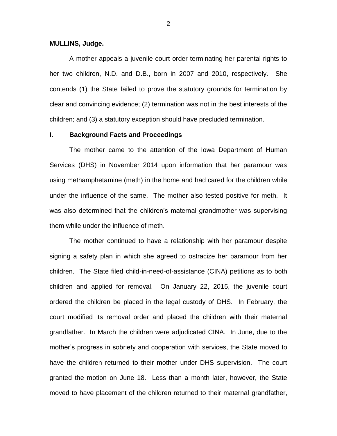#### **MULLINS, Judge.**

A mother appeals a juvenile court order terminating her parental rights to her two children, N.D. and D.B., born in 2007 and 2010, respectively. She contends (1) the State failed to prove the statutory grounds for termination by clear and convincing evidence; (2) termination was not in the best interests of the children; and (3) a statutory exception should have precluded termination.

# **I. Background Facts and Proceedings**

The mother came to the attention of the Iowa Department of Human Services (DHS) in November 2014 upon information that her paramour was using methamphetamine (meth) in the home and had cared for the children while under the influence of the same. The mother also tested positive for meth. It was also determined that the children's maternal grandmother was supervising them while under the influence of meth.

The mother continued to have a relationship with her paramour despite signing a safety plan in which she agreed to ostracize her paramour from her children. The State filed child-in-need-of-assistance (CINA) petitions as to both children and applied for removal. On January 22, 2015, the juvenile court ordered the children be placed in the legal custody of DHS. In February, the court modified its removal order and placed the children with their maternal grandfather. In March the children were adjudicated CINA. In June, due to the mother's progress in sobriety and cooperation with services, the State moved to have the children returned to their mother under DHS supervision. The court granted the motion on June 18. Less than a month later, however, the State moved to have placement of the children returned to their maternal grandfather,

2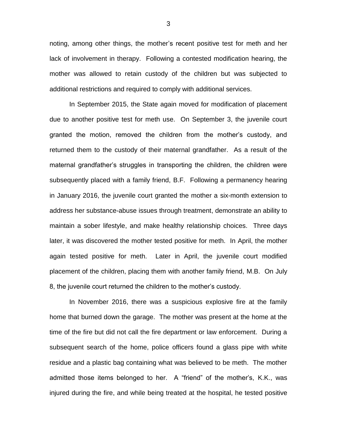noting, among other things, the mother's recent positive test for meth and her lack of involvement in therapy. Following a contested modification hearing, the mother was allowed to retain custody of the children but was subjected to additional restrictions and required to comply with additional services.

In September 2015, the State again moved for modification of placement due to another positive test for meth use. On September 3, the juvenile court granted the motion, removed the children from the mother's custody, and returned them to the custody of their maternal grandfather. As a result of the maternal grandfather's struggles in transporting the children, the children were subsequently placed with a family friend, B.F. Following a permanency hearing in January 2016, the juvenile court granted the mother a six-month extension to address her substance-abuse issues through treatment, demonstrate an ability to maintain a sober lifestyle, and make healthy relationship choices. Three days later, it was discovered the mother tested positive for meth. In April, the mother again tested positive for meth. Later in April, the juvenile court modified placement of the children, placing them with another family friend, M.B. On July 8, the juvenile court returned the children to the mother's custody.

In November 2016, there was a suspicious explosive fire at the family home that burned down the garage. The mother was present at the home at the time of the fire but did not call the fire department or law enforcement. During a subsequent search of the home, police officers found a glass pipe with white residue and a plastic bag containing what was believed to be meth. The mother admitted those items belonged to her. A "friend" of the mother's, K.K., was injured during the fire, and while being treated at the hospital, he tested positive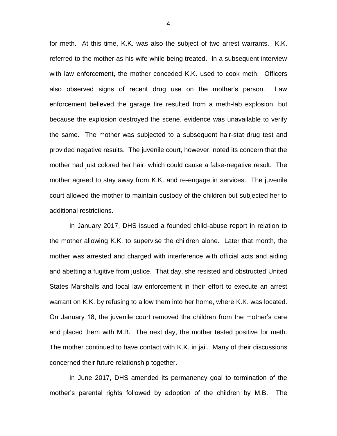for meth. At this time, K.K. was also the subject of two arrest warrants. K.K. referred to the mother as his wife while being treated. In a subsequent interview with law enforcement, the mother conceded K.K. used to cook meth. Officers also observed signs of recent drug use on the mother's person. Law enforcement believed the garage fire resulted from a meth-lab explosion, but because the explosion destroyed the scene, evidence was unavailable to verify the same. The mother was subjected to a subsequent hair-stat drug test and provided negative results. The juvenile court, however, noted its concern that the mother had just colored her hair, which could cause a false-negative result. The mother agreed to stay away from K.K. and re-engage in services. The juvenile court allowed the mother to maintain custody of the children but subjected her to additional restrictions.

In January 2017, DHS issued a founded child-abuse report in relation to the mother allowing K.K. to supervise the children alone. Later that month, the mother was arrested and charged with interference with official acts and aiding and abetting a fugitive from justice. That day, she resisted and obstructed United States Marshalls and local law enforcement in their effort to execute an arrest warrant on K.K. by refusing to allow them into her home, where K.K. was located. On January 18, the juvenile court removed the children from the mother's care and placed them with M.B. The next day, the mother tested positive for meth. The mother continued to have contact with K.K. in jail. Many of their discussions concerned their future relationship together.

In June 2017, DHS amended its permanency goal to termination of the mother's parental rights followed by adoption of the children by M.B. The

4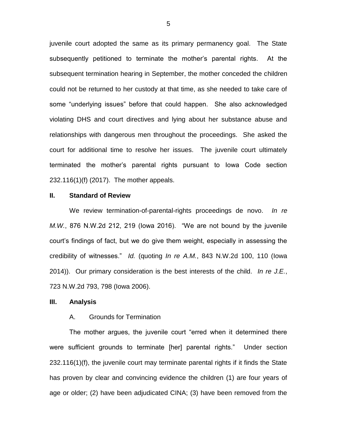juvenile court adopted the same as its primary permanency goal. The State subsequently petitioned to terminate the mother's parental rights. At the subsequent termination hearing in September, the mother conceded the children could not be returned to her custody at that time, as she needed to take care of some "underlying issues" before that could happen. She also acknowledged violating DHS and court directives and lying about her substance abuse and relationships with dangerous men throughout the proceedings. She asked the court for additional time to resolve her issues. The juvenile court ultimately terminated the mother's parental rights pursuant to Iowa Code section 232.116(1)(f) (2017). The mother appeals.

#### **II. Standard of Review**

We review termination-of-parental-rights proceedings de novo. *In re M.W.*, 876 N.W.2d 212, 219 (Iowa 2016). "We are not bound by the juvenile court's findings of fact, but we do give them weight, especially in assessing the credibility of witnesses." *Id.* (quoting *In re A.M.*, 843 N.W.2d 100, 110 (Iowa 2014)). Our primary consideration is the best interests of the child. *In re J.E.*, 723 N.W.2d 793, 798 (Iowa 2006).

### **III. Analysis**

#### A. Grounds for Termination

The mother argues, the juvenile court "erred when it determined there were sufficient grounds to terminate [her] parental rights." Under section 232.116(1)(f), the juvenile court may terminate parental rights if it finds the State has proven by clear and convincing evidence the children (1) are four years of age or older; (2) have been adjudicated CINA; (3) have been removed from the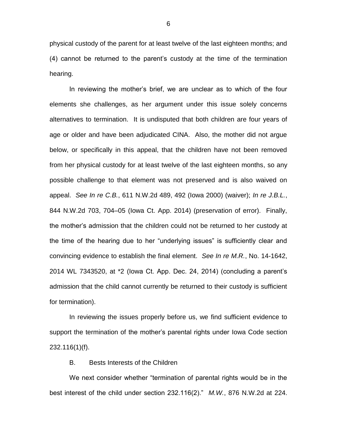physical custody of the parent for at least twelve of the last eighteen months; and (4) cannot be returned to the parent's custody at the time of the termination hearing.

In reviewing the mother's brief, we are unclear as to which of the four elements she challenges, as her argument under this issue solely concerns alternatives to termination. It is undisputed that both children are four years of age or older and have been adjudicated CINA. Also, the mother did not argue below, or specifically in this appeal, that the children have not been removed from her physical custody for at least twelve of the last eighteen months, so any possible challenge to that element was not preserved and is also waived on appeal. *See In re C.B.*, 611 N.W.2d 489, 492 (Iowa 2000) (waiver); *In re J.B.L.*, 844 N.W.2d 703, 704–05 (Iowa Ct. App. 2014) (preservation of error). Finally, the mother's admission that the children could not be returned to her custody at the time of the hearing due to her "underlying issues" is sufficiently clear and convincing evidence to establish the final element. *See In re M.R.*, No. 14-1642, 2014 WL 7343520, at \*2 (Iowa Ct. App. Dec. 24, 2014) (concluding a parent's admission that the child cannot currently be returned to their custody is sufficient for termination).

In reviewing the issues properly before us, we find sufficient evidence to support the termination of the mother's parental rights under Iowa Code section 232.116(1)(f).

B. Bests Interests of the Children

We next consider whether "termination of parental rights would be in the best interest of the child under section 232.116(2)." *M.W.*, 876 N.W.2d at 224.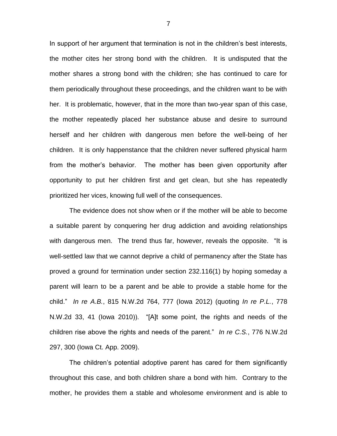In support of her argument that termination is not in the children's best interests, the mother cites her strong bond with the children. It is undisputed that the mother shares a strong bond with the children; she has continued to care for them periodically throughout these proceedings, and the children want to be with her. It is problematic, however, that in the more than two-year span of this case, the mother repeatedly placed her substance abuse and desire to surround herself and her children with dangerous men before the well-being of her children. It is only happenstance that the children never suffered physical harm from the mother's behavior. The mother has been given opportunity after opportunity to put her children first and get clean, but she has repeatedly prioritized her vices, knowing full well of the consequences.

The evidence does not show when or if the mother will be able to become a suitable parent by conquering her drug addiction and avoiding relationships with dangerous men. The trend thus far, however, reveals the opposite. "It is well-settled law that we cannot deprive a child of permanency after the State has proved a ground for termination under section 232.116(1) by hoping someday a parent will learn to be a parent and be able to provide a stable home for the child." *In re A.B.*, 815 N.W.2d 764, 777 (Iowa 2012) (quoting *In re P.L.*, 778 N.W.2d 33, 41 (Iowa 2010)). "[A]t some point, the rights and needs of the children rise above the rights and needs of the parent." *In re C.S.*, 776 N.W.2d 297, 300 (Iowa Ct. App. 2009).

The children's potential adoptive parent has cared for them significantly throughout this case, and both children share a bond with him. Contrary to the mother, he provides them a stable and wholesome environment and is able to

7